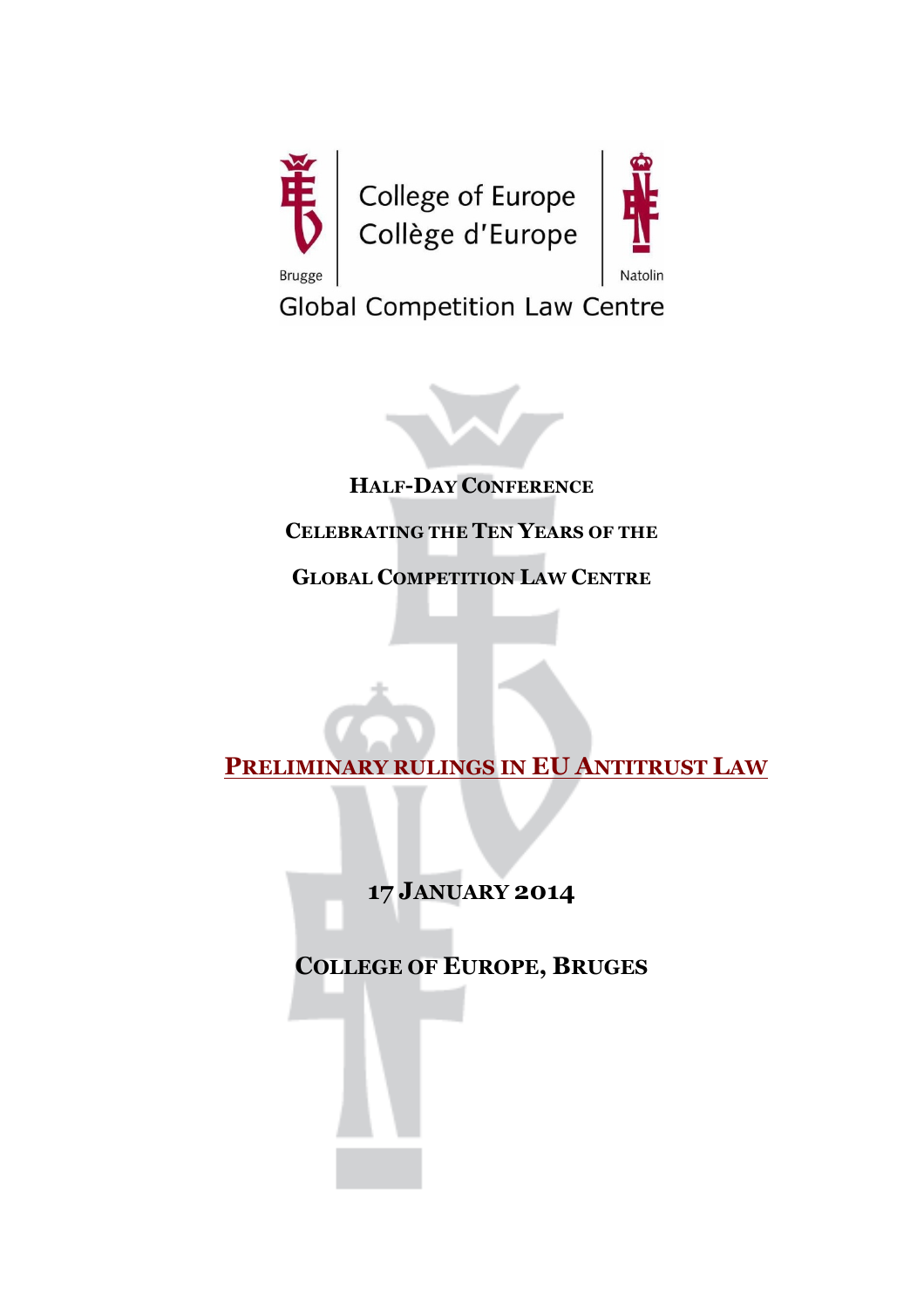



**Global Competition Law Centre** 



**HALF-DAY CONFERENCE**

# **CELEBRATING THE TEN YEARS OF THE**

**GLOBAL COMPETITION LAW CENTRE**

**PRELIMINARY RULINGS IN EU ANTITRUST LAW**

**17 JANUARY 2014**

**COLLEGE OF EUROPE, BRUGES**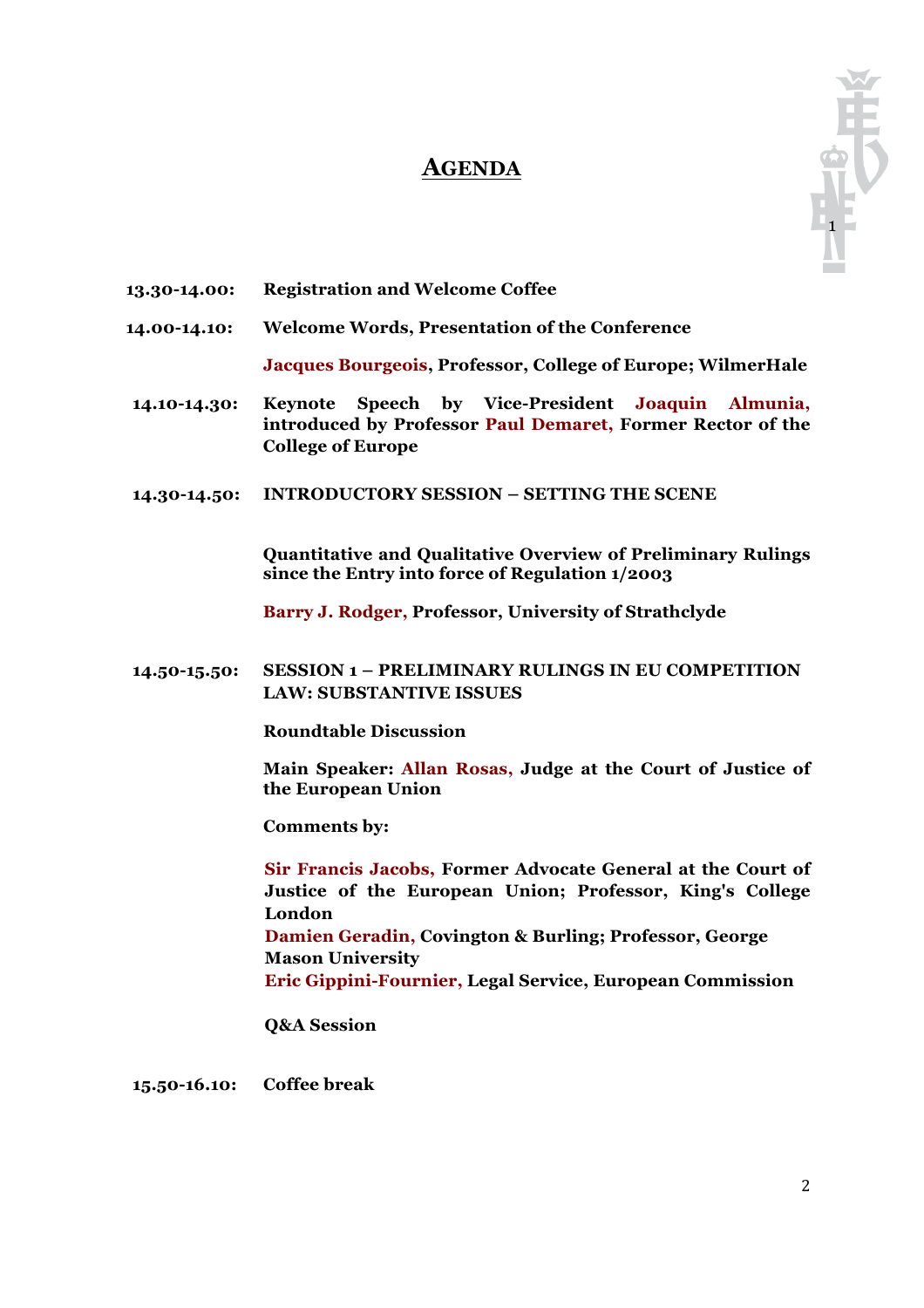# **AGENDA**



- **13.30-14.00: Registration and Welcome Coffee**
- **14.00-14.10: Welcome Words, Presentation of the Conference**

**Jacques Bourgeois, Professor, College of Europe; WilmerHale**

- **14.10-14.30: Keynote Speech by Vice-President Joaquin Almunia, introduced by Professor Paul Demaret, Former Rector of the College of Europe**
- **14.30-14.50: INTRODUCTORY SESSION – SETTING THE SCENE**

**Quantitative and Qualitative Overview of Preliminary Rulings since the Entry into force of Regulation 1/2003**

**Barry J. Rodger, Professor, University of Strathclyde**

**14.50-15.50: SESSION 1 – PRELIMINARY RULINGS IN EU COMPETITION LAW: SUBSTANTIVE ISSUES**

**Roundtable Discussion**

**Main Speaker: Allan Rosas, Judge at the Court of Justice of the European Union**

**Comments by:**

**Sir Francis Jacobs, Former Advocate General at the Court of Justice of the European Union; Professor, King's College London Damien Geradin, Covington & Burling; Professor, George Mason University Eric Gippini-Fournier, Legal Service, European Commission**

**Q&A Session**

**15.50-16.10: Coffee break**